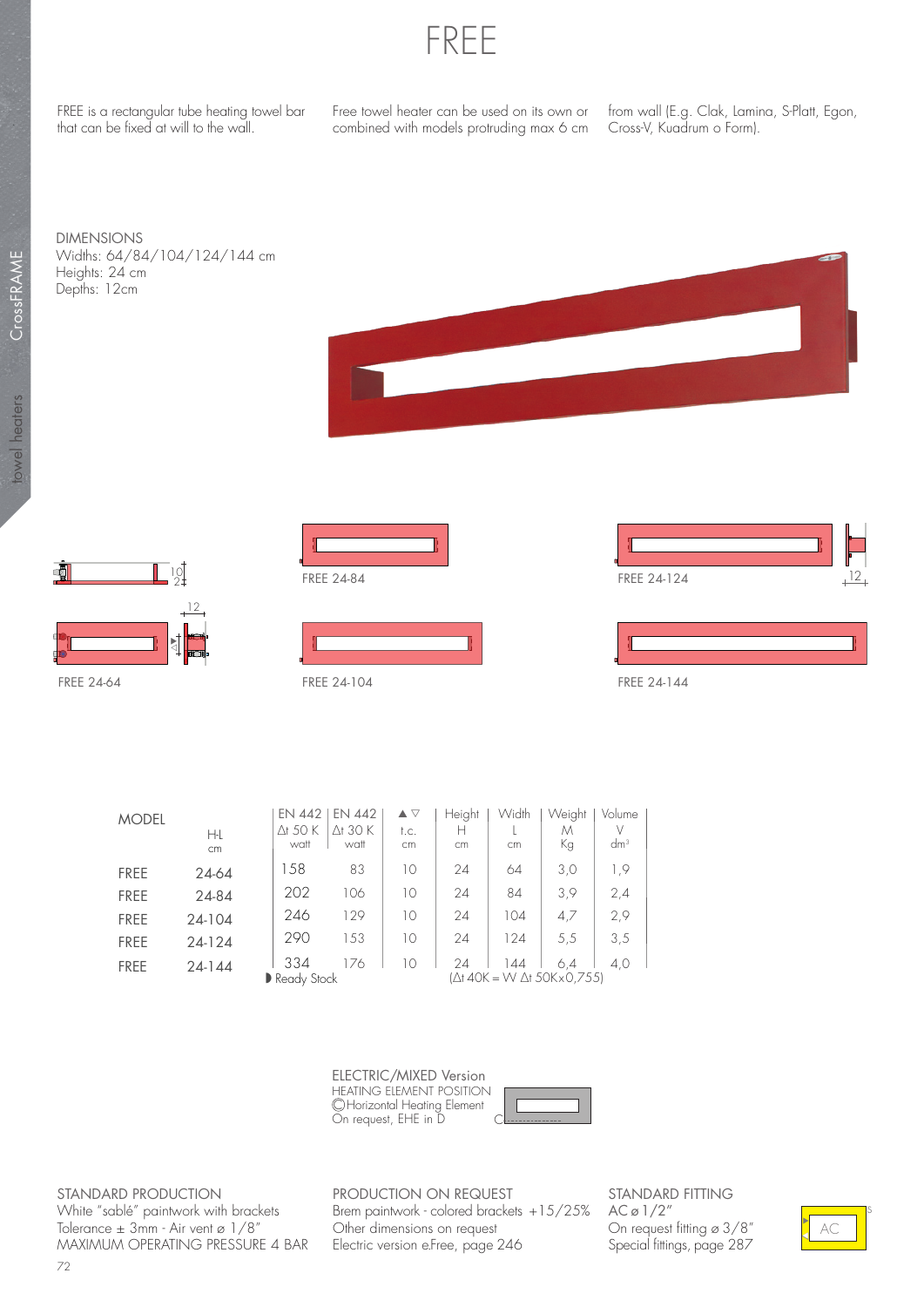

FREE is a rectangular tube heating towel bar that can be fixed at will to the wall.

Free towel heater can be used on its own or combined with models protruding max 6 cm

from wall (E.g. Clak, Lamina, S-Platt, Egon, Cross-V, Kuadrum o Form).

DIMENSIONS Widths: 64/84/104/124/144 cm Heights: 24 cm Depths: 12cm















| <b>MODEL</b> | H-L<br>cm  | EN 442<br>$\Delta$ t 50 K<br>watt | <b>EN 442</b><br>$\Delta$ t 30 K<br>watt | $\blacktriangle \triangledown$<br>t.c.<br>cm | Height<br>н<br>cm | Width<br>cm | Weight<br>М<br>Кg                | Volume<br>$dm^3$ |
|--------------|------------|-----------------------------------|------------------------------------------|----------------------------------------------|-------------------|-------------|----------------------------------|------------------|
| <b>FREE</b>  | 24-64      | 158                               | 83                                       | 10                                           | 24                | 64          | 3,0                              | 1,9              |
| <b>FREE</b>  | 24-84      | 202                               | 106                                      | 10                                           | 24                | 84          | 3,9                              | 2,4              |
| <b>FREE</b>  | 24-104     | 246                               | 129                                      | 10                                           | 24                | 104         | 4,7                              | 2,9              |
| <b>FREE</b>  | 24-124     | 290                               | 153                                      | 10                                           | 24                | 124         | 5,5                              | 3,5              |
| <b>FREE</b>  | $24 - 144$ | 334<br>Ready Stock                | 176                                      | 10                                           | 24                | 144         | 6.4<br>(Δt 40K = W Δt 50Kx0,755) | 4.0              |

HEATING ELEMENT POSITION C Horizontal Heating Element On request, EHE in D ELECTRIC/MIXED Version



STANDARD PRODUCTION White "sablé" paintwork with brackets Tolerance ± 3mm - Air vent ø 1/8" MAXIMUM OPERATING PRESSURE 4 BAR PRODUCTION ON REQUEST Brem paintwork - colored brackets +15/25% Other dimensions on request Electric version e.Free, page 246

STANDARD FITTING  $AC \varnothing$  1/2" On request fitting ø 3/8" Special fittings, page 287